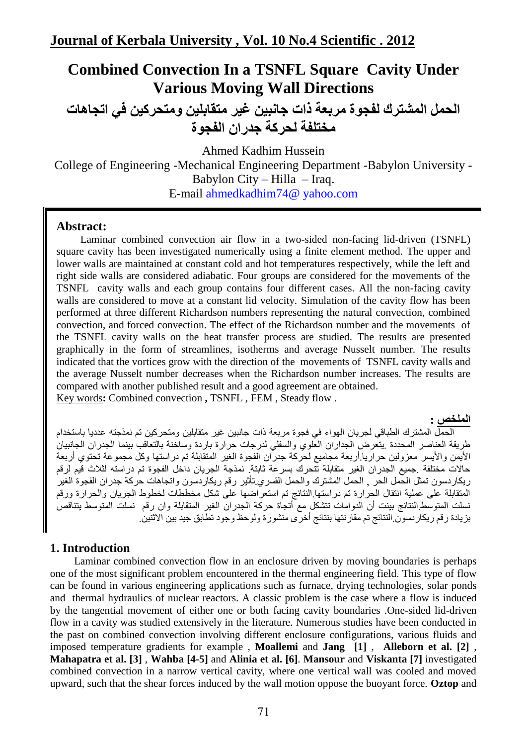# **Combined Convection In a TSNFL Square Cavity Under Various Moving Wall Directions**

**الحمل المشترك لفجوة مربعت ذاث جاوبيه غير متقابليه ومتحركيه في اتجاهاث مختلفت لحركت جدران الفجوة**

Ahmed Kadhim Hussein

College of Engineering -Mechanical Engineering Department -Babylon University - Babylon City – Hilla – Iraq.

E-mail ahmedkadhim74@ yahoo.com

### **Abstract:**

Laminar combined convection air flow in a two-sided non-facing lid-driven (TSNFL) square cavity has been investigated numerically using a finite element method. The upper and lower walls are maintained at constant cold and hot temperatures respectively, while the left and right side walls are considered adiabatic. Four groups are considered for the movements of the TSNFL cavity walls and each group contains four different cases. All the non-facing cavity walls are considered to move at a constant lid velocity. Simulation of the cavity flow has been performed at three different Richardson numbers representing the natural convection, combined convection, and forced convection. The effect of the Richardson number and the movements of the TSNFL cavity walls on the heat transfer process are studied. The results are presented graphically in the form of streamlines, isotherms and average Nusselt number. The results indicated that the vortices grow with the direction of the movements of TSNFL cavity walls and the average Nusselt number decreases when the Richardson number increases. The results are compared with another published result and a good agreement are obtained. Key words**:** Combined convection **,** TSNFL , FEM , Steady flow .

#### **الملخص :**

الحمل المشترك الطباقي لجريان الهواء في فجوة مربعة ذات جانبين غير متقابلين ومتحركين تم نمذجته عدديا باستخدام طر يقة العناصر المحددة ِ يتعُرض الجدار ان العلوى والسفلي لدر جات حرارة بار دة وساخنة بالنعاقب بينما الجدر ان الجانبيان الأيمن والأيسر معزولين حراريا أربعة مجاميع لحركة جدران الفجوة الغير المتقابلة تم دراستها وكل مجموعة تحتوي أربعة حالات مختلفة .جميع الجدران الغير متقابلة تتحرك بسرعة ثابتة. نمذجة الجريان داخل الفجوة تم دراسته لثلاث قيم لرقم ريكاردسون تمثّل الحمل الحر , الحمل المشترك والحمل القسرى تأثير رقم ريكاردسون واتجاهات حركة جدران الفجوة الغير المتقابلة على عملية انتقال الحرارة تم دراستها.النتائج تم استعراضها على شكل مخططات لخطوط الجريان والحرارة ورقم نسلت المتوسط النتائج ببنت أن الدوامات تتشكل مع أنجاة حركة الجدران الغير المتقابلة وان رقم ِ نسلت المتوسط بِتناقص بزِيادة رِقم ريكار دسوّن النتائج تم مقارِ نتها بنتائج أخرّي منشور ة ولوحظ وجود تطابق جيد بين الاثنين.

### **1. Introduction**

 Laminar combined convection flow in an enclosure driven by moving boundaries is perhaps one of the most significant problem encountered in the thermal engineering field. This type of flow can be found in various engineering applications such as furnace, drying technologies, solar ponds and thermal hydraulics of nuclear reactors. A classic problem is the case where a flow is induced by the tangential movement of either one or both facing cavity boundaries .One-sided lid-driven flow in a cavity was studied extensively in the literature. Numerous studies have been conducted in the past on combined convection involving different enclosure configurations, various fluids and imposed temperature gradients for example , **Moallemi** and **Jang [1]** , **Alleborn et al. [2]** , **Mahapatra et al. [3]** , **Wahba [4-5]** and **Alinia et al. [6]**. **Mansour** and **Viskanta [7]** investigated combined convection in a narrow vertical cavity, where one vertical wall was cooled and moved upward, such that the shear forces induced by the wall motion oppose the buoyant force. **Oztop** and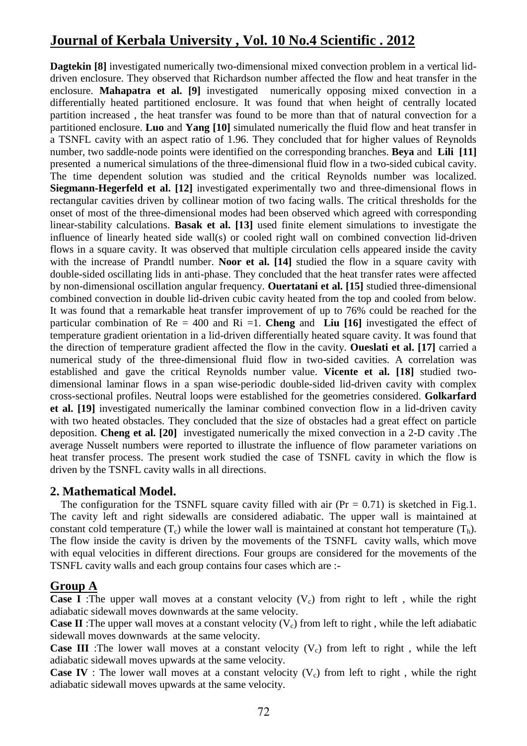**Dagtekin [8]** investigated numerically two-dimensional mixed convection problem in a vertical liddriven enclosure. They observed that Richardson number affected the flow and heat transfer in the enclosure. **Mahapatra et al. [9]** investigated numerically opposing mixed convection in a differentially heated partitioned enclosure. It was found that when height of centrally located partition increased , the heat transfer was found to be more than that of natural convection for a partitioned enclosure. **Luo** and **Yang [10]** simulated numerically the fluid flow and heat transfer in a TSNFL cavity with an aspect ratio of 1.96. They concluded that for higher values of Reynolds number, two saddle-node points were identified on the corresponding branches. **Beya** and **Lili [11]**  presented a numerical simulations of the three-dimensional fluid flow in a two-sided cubical cavity. The time dependent solution was studied and the critical Reynolds number was localized. **Siegmann-Hegerfeld et al. [12]** investigated experimentally two and three-dimensional flows in rectangular cavities driven by collinear motion of two facing walls. The critical thresholds for the onset of most of the three-dimensional modes had been observed which agreed with corresponding linear-stability calculations. **Basak et al. [13]** used finite element simulations to investigate the influence of linearly heated side wall(s) or cooled right wall on combined convection lid-driven flows in a square cavity. It was observed that multiple circulation cells appeared inside the cavity with the increase of Prandtl number. **Noor et al. [14]** studied the flow in a square cavity with double-sided oscillating lids in anti-phase. They concluded that the heat transfer rates were affected by non-dimensional oscillation angular frequency. **Ouertatani et al. [15]** studied three-dimensional combined convection in double lid-driven cubic cavity heated from the top and cooled from below. It was found that a remarkable heat transfer improvement of up to 76% could be reached for the particular combination of Re = 400 and Ri =1. **Cheng** and **Liu [16]** investigated the effect of temperature gradient orientation in a lid-driven differentially heated square cavity. It was found that the direction of temperature gradient affected the flow in the cavity. **Oueslati et al. [17]** carried a numerical study of the three-dimensional fluid flow in two-sided cavities. A correlation was established and gave the critical Reynolds number value. **Vicente et al. [18]** studied twodimensional laminar flows in a span wise-periodic double-sided lid-driven cavity with complex cross-sectional profiles. Neutral loops were established for the geometries considered. **Golkarfard et al. [19]** investigated numerically the laminar combined convection flow in a lid-driven cavity with two heated obstacles. They concluded that the size of obstacles had a great effect on particle deposition. **Cheng et al. [20]** investigated numerically the mixed convection in a 2-D cavity .The average Nusselt numbers were reported to illustrate the influence of flow parameter variations on heat transfer process. The present work studied the case of TSNFL cavity in which the flow is driven by the TSNFL cavity walls in all directions.

### **2. Mathematical Model.**

The configuration for the TSNFL square cavity filled with air  $(Pr = 0.71)$  is sketched in Fig.1. The cavity left and right sidewalls are considered adiabatic. The upper wall is maintained at constant cold temperature  $(T_c)$  while the lower wall is maintained at constant hot temperature  $(T_b)$ . The flow inside the cavity is driven by the movements of the TSNFL cavity walls, which move with equal velocities in different directions. Four groups are considered for the movements of the TSNFL cavity walls and each group contains four cases which are :-

### **Group A**

**Case I** :The upper wall moves at a constant velocity  $(V_c)$  from right to left, while the right adiabatic sidewall moves downwards at the same velocity.

**Case II**: The upper wall moves at a constant velocity  $(V_c)$  from left to right, while the left adiabatic sidewall moves downwards at the same velocity.

**Case III** :The lower wall moves at a constant velocity  $(V_c)$  from left to right, while the left adiabatic sidewall moves upwards at the same velocity.

**Case IV** : The lower wall moves at a constant velocity  $(V_c)$  from left to right, while the right adiabatic sidewall moves upwards at the same velocity.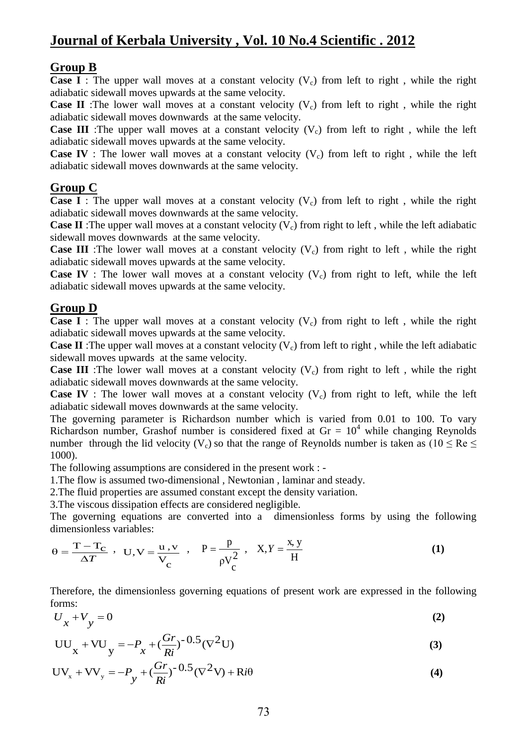### **Group B**

**Case I** : The upper wall moves at a constant velocity  $(V_c)$  from left to right, while the right adiabatic sidewall moves upwards at the same velocity.

**Case II** :The lower wall moves at a constant velocity  $(V_c)$  from left to right, while the right adiabatic sidewall moves downwards at the same velocity.

**Case III** :The upper wall moves at a constant velocity  $(V_c)$  from left to right, while the left adiabatic sidewall moves upwards at the same velocity.

**Case IV**: The lower wall moves at a constant velocity  $(V_c)$  from left to right, while the left adiabatic sidewall moves downwards at the same velocity.

### **Group C**

**Case I** : The upper wall moves at a constant velocity  $(V_c)$  from left to right, while the right adiabatic sidewall moves downwards at the same velocity.

**Case II** :The upper wall moves at a constant velocity  $(V_c)$  from right to left, while the left adiabatic sidewall moves downwards at the same velocity.

**Case III** :The lower wall moves at a constant velocity  $(V_c)$  from right to left, while the right adiabatic sidewall moves upwards at the same velocity.

**Case IV** : The lower wall moves at a constant velocity  $(V_c)$  from right to left, while the left adiabatic sidewall moves upwards at the same velocity.

### **Group D**

**Case I** : The upper wall moves at a constant velocity  $(V_c)$  from right to left, while the right adiabatic sidewall moves upwards at the same velocity.

**Case II**: The upper wall moves at a constant velocity  $(V_c)$  from left to right, while the left adiabatic sidewall moves upwards at the same velocity.

**Case III** :The lower wall moves at a constant velocity  $(V_c)$  from right to left, while the right adiabatic sidewall moves downwards at the same velocity.

**Case IV**: The lower wall moves at a constant velocity  $(V_c)$  from right to left, while the left adiabatic sidewall moves downwards at the same velocity.

The governing parameter is Richardson number which is varied from 0.01 to 100. To vary Richardson number, Grashof number is considered fixed at  $Gr = 10<sup>4</sup>$  while changing Reynolds number through the lid velocity (V<sub>c</sub>) so that the range of Reynolds number is taken as (10  $\leq$  Re  $\leq$ 1000).

The following assumptions are considered in the present work : -

1.The flow is assumed two-dimensional , Newtonian , laminar and steady.

2.The fluid properties are assumed constant except the density variation.

3.The viscous dissipation effects are considered negligible.

The governing equations are converted into a dimensionless forms by using the following dimensionless variables:

$$
\theta = \frac{T - T_C}{\Delta T} , \quad U, V = \frac{u, v}{V_C} , \quad P = \frac{p}{\rho V_C^2} , \quad X, Y = \frac{x, y}{H}
$$
 (1)

Therefore, the dimensionless governing equations of present work are expressed in the following forms:

$$
U_x + V_y = 0 \tag{2}
$$

$$
UU_{x} + VU_{y} = -P_{x} + \left(\frac{Gr}{Ri}\right)^{-0.5} (\nabla^{2} U)
$$
\n(3)

$$
UV_x + VV_y = -P_y + (\frac{Gr}{Ri})^{-0.5} (\nabla^2 V) + Ri\theta
$$
\n(4)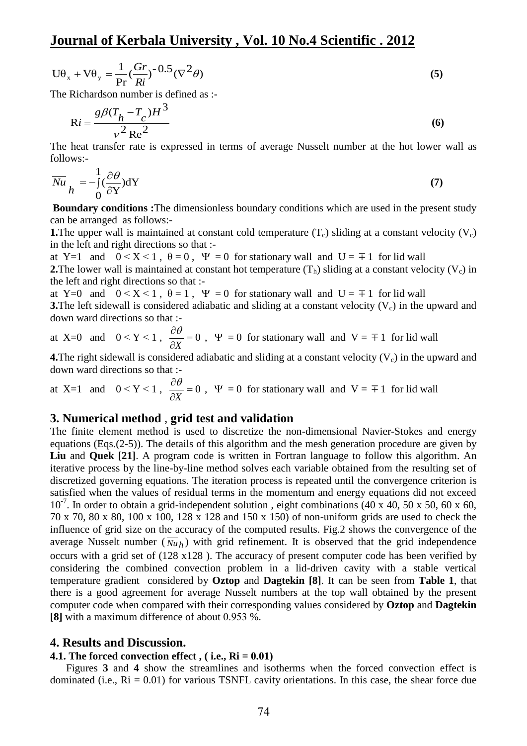$$
U\theta_x + V\theta_y = \frac{1}{\text{Pr}} \left(\frac{Gr}{Ri}\right)^{-0.5} (\nabla^2 \theta)
$$
\n(5)

The Richardson number is defined as :-

$$
Ri = \frac{g\beta (T_h - T_c)H^3}{v^2 Re^2}
$$
 (6)

The heat transfer rate is expressed in terms of average Nusselt number at the hot lower wall as follows:-

$$
\overline{Nu}_{h} = -\int_{0}^{1} (\frac{\partial \theta}{\partial Y}) dY
$$
 (7)

**Boundary conditions :**The dimensionless boundary conditions which are used in the present study can be arranged as follows:-

**1.**The upper wall is maintained at constant cold temperature  $(T_c)$  sliding at a constant velocity  $(V_c)$ in the left and right directions so that :-

at Y=1 and  $0 < X < 1$ ,  $\theta = 0$ ,  $\Psi = 0$  for stationary wall and  $U = \pm 1$  for lid wall **2.**The lower wall is maintained at constant hot temperature  $(T_h)$  sliding at a constant velocity  $(V_c)$  in the left and right directions so that :-

at Y=0 and  $0 < X < 1$ ,  $\theta = 1$ ,  $\Psi = 0$  for stationary wall and U =  $\mp 1$  for lid wall **3.**The left sidewall is considered adiabatic and sliding at a constant velocity  $(V_c)$  in the upward and down ward directions so that :-

at X=0 and 
$$
0 < Y < 1
$$
,  $\frac{\partial \theta}{\partial X} = 0$ ,  $\Psi = 0$  for stationary wall and  $V = \pm 1$  for lid wall

**4.**The right sidewall is considered adiabatic and sliding at a constant velocity  $(V_c)$  in the upward and down ward directions so that :-

at X=1 and  $0 < Y < 1$ ,  $\frac{\partial C}{\partial x} = 0$  $\partial$  $\partial$ *X*  $\frac{\theta}{\theta}$  = 0,  $\Psi$  = 0 for stationary wall and  $V = \pm 1$  for lid wall

#### **3. Numerical method** , **grid test and validation**

3 is internsional and is internsion and is internsional constant cold ten at :-<br>  $\Psi = 0$  for static constant hot temp<br>  $\Psi = 0$  for static internsical is internet internsical internsical internsical internsical internsical The finite element method is used to discretize the non-dimensional Navier-Stokes and energy equations (Eqs.(2-5)). The details of this algorithm and the mesh generation procedure are given by **Liu** and **Quek [21]**. A program code is written in Fortran language to follow this algorithm. An iterative process by the line-by-line method solves each variable obtained from the resulting set of discretized governing equations. The iteration process is repeated until the convergence criterion is satisfied when the values of residual terms in the momentum and energy equations did not exceed 10<sup>-7</sup>. In order to obtain a grid-independent solution, eight combinations (40 x 40, 50 x 50, 60 x 60, 70 x 70, 80 x 80, 100 x 100, 128 x 128 and 150 x 150) of non-uniform grids are used to check the influence of grid size on the accuracy of the computed results. Fig.2 shows the convergence of the average Nusselt number  $(\overline{Nu}_h)$  with grid refinement. It is observed that the grid independence occurs with a grid set of (128 x128 ). The accuracy of present computer code has been verified by considering the combined convection problem in a lid-driven cavity with a stable vertical temperature gradient considered by **Oztop** and **Dagtekin [8]**. It can be seen from **Table 1**, that there is a good agreement for average Nusselt numbers at the top wall obtained by the present computer code when compared with their corresponding values considered by **Oztop** and **Dagtekin [8]** with a maximum difference of about 0.953 %.

#### **4. Results and Discussion.**

#### **4.1. The forced convection effect , ( i.e., Ri = 0.01)**

 Figures **3** and **4** show the streamlines and isotherms when the forced convection effect is dominated (i.e.,  $Ri = 0.01$ ) for various TSNFL cavity orientations. In this case, the shear force due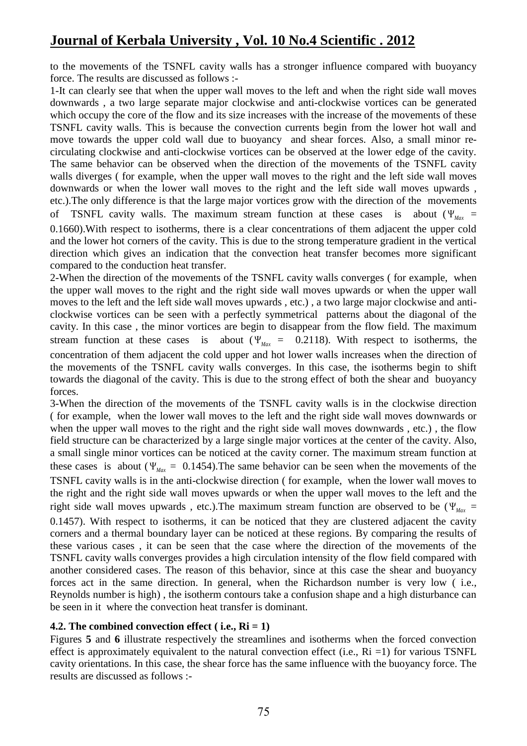to the movements of the TSNFL cavity walls has a stronger influence compared with buoyancy force. The results are discussed as follows :-

1-It can clearly see that when the upper wall moves to the left and when the right side wall moves downwards , a two large separate major clockwise and anti-clockwise vortices can be generated which occupy the core of the flow and its size increases with the increase of the movements of these TSNFL cavity walls. This is because the convection currents begin from the lower hot wall and move towards the upper cold wall due to buoyancy and shear forces. Also, a small minor recirculating clockwise and anti-clockwise vortices can be observed at the lower edge of the cavity. The same behavior can be observed when the direction of the movements of the TSNFL cavity walls diverges ( for example, when the upper wall moves to the right and the left side wall moves downwards or when the lower wall moves to the right and the left side wall moves upwards , etc.).The only difference is that the large major vortices grow with the direction of the movements of TSNFL cavity walls. The maximum stream function at these cases is about  $(\Psi_{\text{Max}} =$ 0.1660).With respect to isotherms, there is a clear concentrations of them adjacent the upper cold and the lower hot corners of the cavity. This is due to the strong temperature gradient in the vertical direction which gives an indication that the convection heat transfer becomes more significant compared to the conduction heat transfer.

2-When the direction of the movements of the TSNFL cavity walls converges ( for example, when the upper wall moves to the right and the right side wall moves upwards or when the upper wall moves to the left and the left side wall moves upwards , etc.) , a two large major clockwise and anticlockwise vortices can be seen with a perfectly symmetrical patterns about the diagonal of the cavity. In this case , the minor vortices are begin to disappear from the flow field. The maximum stream function at these cases is about ( $\Psi_{\text{Max}} = 0.2118$ ). With respect to isotherms, the concentration of them adjacent the cold upper and hot lower walls increases when the direction of the movements of the TSNFL cavity walls converges. In this case, the isotherms begin to shift towards the diagonal of the cavity. This is due to the strong effect of both the shear and buoyancy forces.

3-When the direction of the movements of the TSNFL cavity walls is in the clockwise direction ( for example, when the lower wall moves to the left and the right side wall moves downwards or when the upper wall moves to the right and the right side wall moves downwards , etc.) , the flow field structure can be characterized by a large single major vortices at the center of the cavity. Also, a small single minor vortices can be noticed at the cavity corner. The maximum stream function at these cases is about ( $\Psi_{\text{Max}} = 0.1454$ ). The same behavior can be seen when the movements of the TSNFL cavity walls is in the anti-clockwise direction ( for example, when the lower wall moves to the right and the right side wall moves upwards or when the upper wall moves to the left and the right side wall moves upwards, etc.). The maximum stream function are observed to be ( $\Psi_{\text{max}}$  = 0.1457). With respect to isotherms, it can be noticed that they are clustered adjacent the cavity corners and a thermal boundary layer can be noticed at these regions. By comparing the results of these various cases , it can be seen that the case where the direction of the movements of the TSNFL cavity walls converges provides a high circulation intensity of the flow field compared with another considered cases. The reason of this behavior, since at this case the shear and buoyancy forces act in the same direction. In general, when the Richardson number is very low ( i.e., Reynolds number is high) , the isotherm contours take a confusion shape and a high disturbance can be seen in it where the convection heat transfer is dominant.

### **4.2. The combined convection effect ( i.e., Ri = 1)**

Figures **5** and **6** illustrate respectively the streamlines and isotherms when the forced convection effect is approximately equivalent to the natural convection effect (i.e.,  $\text{Ri} = 1$ ) for various TSNFL cavity orientations. In this case, the shear force has the same influence with the buoyancy force. The results are discussed as follows :-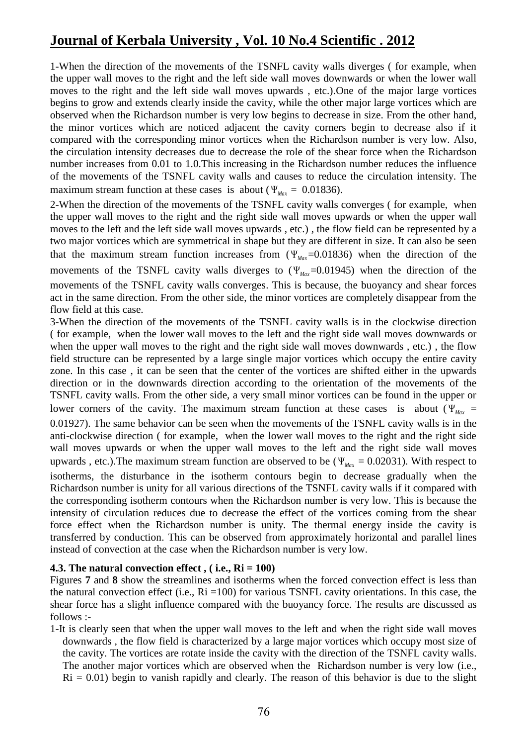1-When the direction of the movements of the TSNFL cavity walls diverges ( for example, when the upper wall moves to the right and the left side wall moves downwards or when the lower wall moves to the right and the left side wall moves upwards , etc.).One of the major large vortices begins to grow and extends clearly inside the cavity, while the other major large vortices which are observed when the Richardson number is very low begins to decrease in size. From the other hand, the minor vortices which are noticed adjacent the cavity corners begin to decrease also if it compared with the corresponding minor vortices when the Richardson number is very low. Also, the circulation intensity decreases due to decrease the role of the shear force when the Richardson number increases from 0.01 to 1.0.This increasing in the Richardson number reduces the influence of the movements of the TSNFL cavity walls and causes to reduce the circulation intensity. The maximum stream function at these cases is about ( $\Psi_{\text{Max}} = 0.01836$ ).

2-When the direction of the movements of the TSNFL cavity walls converges ( for example, when the upper wall moves to the right and the right side wall moves upwards or when the upper wall moves to the left and the left side wall moves upwards , etc.) , the flow field can be represented by a two major vortices which are symmetrical in shape but they are different in size. It can also be seen that the maximum stream function increases from  $(\Psi_{\text{Max}}=0.01836)$  when the direction of the movements of the TSNFL cavity walls diverges to  $(\Psi_{\text{Max}}=0.01945)$  when the direction of the movements of the TSNFL cavity walls converges. This is because, the buoyancy and shear forces act in the same direction. From the other side, the minor vortices are completely disappear from the flow field at this case.

3-When the direction of the movements of the TSNFL cavity walls is in the clockwise direction ( for example, when the lower wall moves to the left and the right side wall moves downwards or when the upper wall moves to the right and the right side wall moves downwards , etc.) , the flow field structure can be represented by a large single major vortices which occupy the entire cavity zone. In this case , it can be seen that the center of the vortices are shifted either in the upwards direction or in the downwards direction according to the orientation of the movements of the TSNFL cavity walls. From the other side, a very small minor vortices can be found in the upper or lower corners of the cavity. The maximum stream function at these cases is about ( $\Psi_{\text{Max}}$  = 0.01927). The same behavior can be seen when the movements of the TSNFL cavity walls is in the anti-clockwise direction ( for example, when the lower wall moves to the right and the right side wall moves upwards or when the upper wall moves to the left and the right side wall moves upwards, etc.). The maximum stream function are observed to be ( $\Psi_{\text{Max}} = 0.02031$ ). With respect to isotherms, the disturbance in the isotherm contours begin to decrease gradually when the Richardson number is unity for all various directions of the TSNFL cavity walls if it compared with the corresponding isotherm contours when the Richardson number is very low. This is because the intensity of circulation reduces due to decrease the effect of the vortices coming from the shear force effect when the Richardson number is unity. The thermal energy inside the cavity is transferred by conduction. This can be observed from approximately horizontal and parallel lines instead of convection at the case when the Richardson number is very low.

#### **4.3. The natural convection effect , ( i.e., Ri = 100)**

Figures **7** and **8** show the streamlines and isotherms when the forced convection effect is less than the natural convection effect (i.e.,  $Ri = 100$ ) for various TSNFL cavity orientations. In this case, the shear force has a slight influence compared with the buoyancy force. The results are discussed as follows :-

1-It is clearly seen that when the upper wall moves to the left and when the right side wall moves downwards , the flow field is characterized by a large major vortices which occupy most size of the cavity. The vortices are rotate inside the cavity with the direction of the TSNFL cavity walls. The another major vortices which are observed when the Richardson number is very low (i.e.,  $Ri = 0.01$ ) begin to vanish rapidly and clearly. The reason of this behavior is due to the slight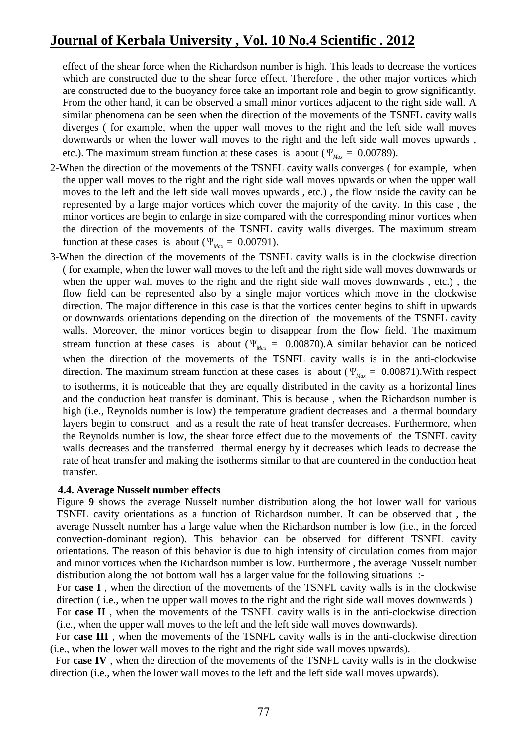effect of the shear force when the Richardson number is high. This leads to decrease the vortices which are constructed due to the shear force effect. Therefore , the other major vortices which are constructed due to the buoyancy force take an important role and begin to grow significantly. From the other hand, it can be observed a small minor vortices adjacent to the right side wall. A similar phenomena can be seen when the direction of the movements of the TSNFL cavity walls diverges ( for example, when the upper wall moves to the right and the left side wall moves downwards or when the lower wall moves to the right and the left side wall moves upwards , etc.). The maximum stream function at these cases is about ( $\Psi_{\text{Max}} = 0.00789$ ).

- 2-When the direction of the movements of the TSNFL cavity walls converges ( for example, when the upper wall moves to the right and the right side wall moves upwards or when the upper wall moves to the left and the left side wall moves upwards , etc.) , the flow inside the cavity can be represented by a large major vortices which cover the majority of the cavity. In this case , the minor vortices are begin to enlarge in size compared with the corresponding minor vortices when the direction of the movements of the TSNFL cavity walls diverges. The maximum stream function at these cases is about ( $\Psi_{\text{Max}} = 0.00791$ ).
- 3-When the direction of the movements of the TSNFL cavity walls is in the clockwise direction ( for example, when the lower wall moves to the left and the right side wall moves downwards or when the upper wall moves to the right and the right side wall moves downwards , etc.) , the flow field can be represented also by a single major vortices which move in the clockwise direction. The major difference in this case is that the vortices center begins to shift in upwards or downwards orientations depending on the direction of the movements of the TSNFL cavity walls. Moreover, the minor vortices begin to disappear from the flow field. The maximum stream function at these cases is about ( $\Psi_{\text{Max}} = 0.00870$ ). A similar behavior can be noticed when the direction of the movements of the TSNFL cavity walls is in the anti-clockwise direction. The maximum stream function at these cases is about ( $\Psi_{\text{Max}} = 0.00871$ ). With respect to isotherms, it is noticeable that they are equally distributed in the cavity as a horizontal lines and the conduction heat transfer is dominant. This is because , when the Richardson number is high (i.e., Reynolds number is low) the temperature gradient decreases and a thermal boundary layers begin to construct and as a result the rate of heat transfer decreases. Furthermore, when the Reynolds number is low, the shear force effect due to the movements of the TSNFL cavity walls decreases and the transferred thermal energy by it decreases which leads to decrease the rate of heat transfer and making the isotherms similar to that are countered in the conduction heat transfer.

#### **4.4. Average Nusselt number effects**

Figure **9** shows the average Nusselt number distribution along the hot lower wall for various TSNFL cavity orientations as a function of Richardson number. It can be observed that , the average Nusselt number has a large value when the Richardson number is low (i.e., in the forced convection-dominant region). This behavior can be observed for different TSNFL cavity orientations. The reason of this behavior is due to high intensity of circulation comes from major and minor vortices when the Richardson number is low. Furthermore , the average Nusselt number distribution along the hot bottom wall has a larger value for the following situations :-

For **case I** , when the direction of the movements of the TSNFL cavity walls is in the clockwise direction ( i.e., when the upper wall moves to the right and the right side wall moves downwards )

For **case II** , when the movements of the TSNFL cavity walls is in the anti-clockwise direction (i.e., when the upper wall moves to the left and the left side wall moves downwards).

 For **case III** , when the movements of the TSNFL cavity walls is in the anti-clockwise direction (i.e., when the lower wall moves to the right and the right side wall moves upwards).

 For **case IV** , when the direction of the movements of the TSNFL cavity walls is in the clockwise direction (i.e., when the lower wall moves to the left and the left side wall moves upwards).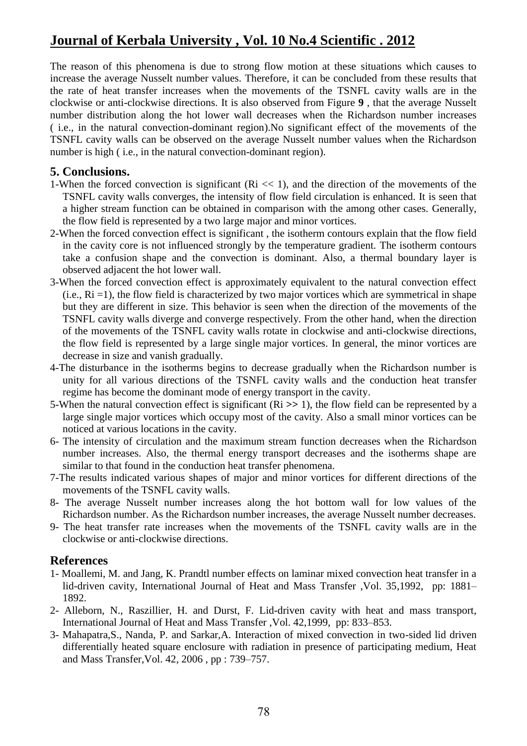The reason of this phenomena is due to strong flow motion at these situations which causes to increase the average Nusselt number values. Therefore, it can be concluded from these results that the rate of heat transfer increases when the movements of the TSNFL cavity walls are in the clockwise or anti-clockwise directions. It is also observed from Figure **9** , that the average Nusselt number distribution along the hot lower wall decreases when the Richardson number increases ( i.e., in the natural convection-dominant region).No significant effect of the movements of the TSNFL cavity walls can be observed on the average Nusselt number values when the Richardson number is high (i.e., in the natural convection-dominant region).

### **5. Conclusions.**

- 1-When the forced convection is significant  $(Ri \ll 1)$ , and the direction of the movements of the TSNFL cavity walls converges, the intensity of flow field circulation is enhanced. It is seen that a higher stream function can be obtained in comparison with the among other cases. Generally, the flow field is represented by a two large major and minor vortices.
- 2-When the forced convection effect is significant , the isotherm contours explain that the flow field in the cavity core is not influenced strongly by the temperature gradient. The isotherm contours take a confusion shape and the convection is dominant. Also, a thermal boundary layer is observed adjacent the hot lower wall.
- 3-When the forced convection effect is approximately equivalent to the natural convection effect  $(i.e., Ri = 1)$ , the flow field is characterized by two major vortices which are symmetrical in shape but they are different in size. This behavior is seen when the direction of the movements of the TSNFL cavity walls diverge and converge respectively. From the other hand, when the direction of the movements of the TSNFL cavity walls rotate in clockwise and anti-clockwise directions, the flow field is represented by a large single major vortices. In general, the minor vortices are decrease in size and vanish gradually.
- 4-The disturbance in the isotherms begins to decrease gradually when the Richardson number is unity for all various directions of the TSNFL cavity walls and the conduction heat transfer regime has become the dominant mode of energy transport in the cavity.
- 5-When the natural convection effect is significant (Ri **>>** 1), the flow field can be represented by a large single major vortices which occupy most of the cavity. Also a small minor vortices can be noticed at various locations in the cavity.
- 6- The intensity of circulation and the maximum stream function decreases when the Richardson number increases. Also, the thermal energy transport decreases and the isotherms shape are similar to that found in the conduction heat transfer phenomena.
- 7-The results indicated various shapes of major and minor vortices for different directions of the movements of the TSNFL cavity walls.
- 8- The average Nusselt number increases along the hot bottom wall for low values of the Richardson number. As the Richardson number increases, the average Nusselt number decreases.
- 9- The heat transfer rate increases when the movements of the TSNFL cavity walls are in the clockwise or anti-clockwise directions.

### **References**

- 1- Moallemi, M. and Jang, K. Prandtl number effects on laminar mixed convection heat transfer in a lid-driven cavity, International Journal of Heat and Mass Transfer ,Vol. 35,1992, pp: 1881– 1892.
- 2- Alleborn, N., Raszillier, H. and Durst, F. Lid-driven cavity with heat and mass transport, International Journal of Heat and Mass Transfer ,Vol. 42,1999, pp: 833–853.
- 3- Mahapatra,S., Nanda, P. and Sarkar,A. Interaction of mixed convection in two-sided lid driven differentially heated square enclosure with radiation in presence of participating medium, Heat and Mass Transfer,Vol. 42, 2006 , pp : 739–757.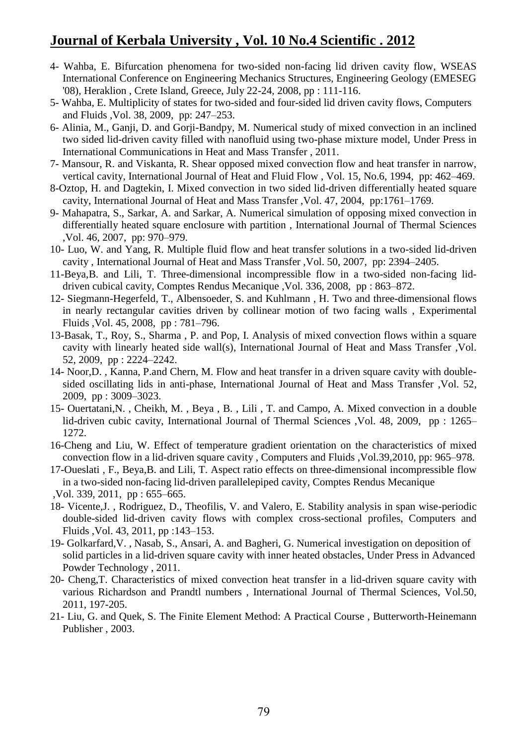- 4- Wahba, E. Bifurcation phenomena for two-sided non-facing lid driven cavity flow, WSEAS International Conference on Engineering Mechanics Structures, Engineering Geology (EMESEG '08), Heraklion , Crete Island, Greece, July 22-24, 2008, pp : 111-116.
- 5- Wahba, E. Multiplicity of states for two-sided and four-sided lid driven cavity flows, Computers and Fluids ,Vol. 38, 2009, pp: 247–253.
- 6- Alinia, M., Ganji, D. and Gorji-Bandpy, M. Numerical study of mixed convection in an inclined two sided lid-driven cavity filled with nanofluid using two-phase mixture model, Under Press in International Communications in Heat and Mass Transfer , 2011.
- 7- Mansour, R. and Viskanta, R. Shear opposed mixed convection flow and heat transfer in narrow, vertical cavity, International Journal of Heat and Fluid Flow , Vol. 15, No.6, 1994, pp: 462–469.
- 8-Oztop, H. and Dagtekin, I. Mixed convection in two sided lid-driven differentially heated square cavity, International Journal of Heat and Mass Transfer ,Vol. 47, 2004, pp:1761–1769.
- 9- Mahapatra, S., Sarkar, A. and Sarkar, A. Numerical simulation of opposing mixed convection in differentially heated square enclosure with partition , International Journal of Thermal Sciences ,Vol. 46, 2007, pp: 970–979.
- 10- Luo, W. and Yang, R. Multiple fluid flow and heat transfer solutions in a two-sided lid-driven cavity , International Journal of Heat and Mass Transfer ,Vol. 50, 2007, pp: 2394–2405.
- 11-Beya,B. and Lili, T. Three-dimensional incompressible flow in a two-sided non-facing liddriven cubical cavity, Comptes Rendus Mecanique ,Vol. 336, 2008, pp : 863–872.
- 12- Siegmann-Hegerfeld, T., Albensoeder, S. and Kuhlmann , H. Two and three-dimensional flows in nearly rectangular cavities driven by collinear motion of two facing walls , Experimental Fluids ,Vol. 45, 2008, pp : 781–796.
- 73-Basak, T., Roy, S., Sharma , P. and Pop, I. Analysis of mixed convection flows within a square cavity with linearly heated side wall(s), International Journal of Heat and Mass Transfer ,Vol. 52, 2009, pp : 2224–2242.
- 14- Noor,D. , Kanna, P.and Chern, M. Flow and heat transfer in a driven square cavity with doublesided oscillating lids in anti-phase, International Journal of Heat and Mass Transfer ,Vol. 52, 2009, pp : 3009–3023.
- 15- Ouertatani,N. , Cheikh, M. , Beya , B. , Lili , T. and Campo, A. Mixed convection in a double lid-driven cubic cavity, International Journal of Thermal Sciences , Vol. 48, 2009, pp : 1265– 1272.
- 16-Cheng and Liu, W. Effect of temperature gradient orientation on the characteristics of mixed convection flow in a lid-driven square cavity , Computers and Fluids ,Vol.39,2010, pp: 965–978.
- 17-Oueslati , F., Beya,B. and Lili, T. Aspect ratio effects on three-dimensional incompressible flow in a two-sided non-facing lid-driven parallelepiped cavity, Comptes Rendus Mecanique ,Vol. 339, 2011, pp : 655–665.
- 18- Vicente,J. , Rodriguez, D., Theofilis, V. and Valero, E. Stability analysis in span wise-periodic double-sided lid-driven cavity flows with complex cross-sectional profiles, Computers and Fluids ,Vol. 43, 2011, pp :143–153.
- 19- Golkarfard,V. , Nasab, S., Ansari, A. and Bagheri, G. Numerical investigation on deposition of solid particles in a lid-driven square cavity with inner heated obstacles, Under Press in Advanced Powder Technology , 2011.
- 70- Cheng,T. Characteristics of mixed convection heat transfer in a lid-driven square cavity with various Richardson and Prandtl numbers , International Journal of Thermal Sciences, Vol.50, 2011, 197-205.
- 21- Liu, G. and Quek, S. The Finite Element Method: A Practical Course , Butterworth-Heinemann Publisher , 2003.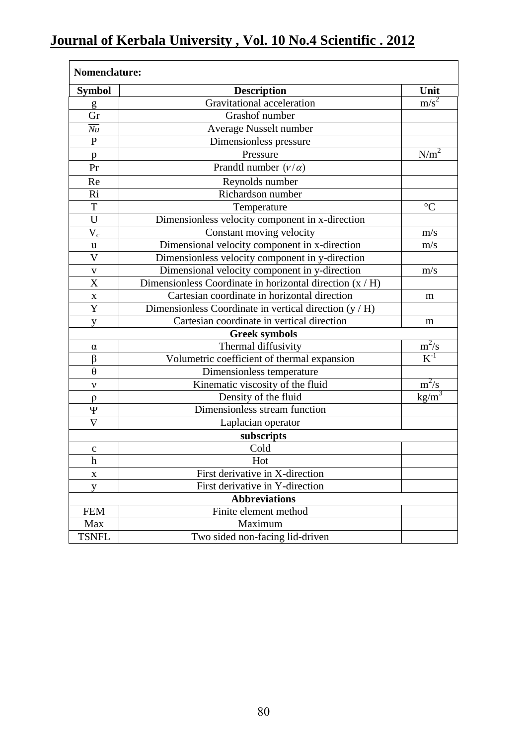| <b>Symbol</b>  | <b>Description</b>                                         | Unit                                  |
|----------------|------------------------------------------------------------|---------------------------------------|
| g              | Gravitational acceleration                                 | $m/s^2$                               |
| Gr             | Grashof number                                             |                                       |
| Nu             | Average Nusselt number                                     |                                       |
| $\mathbf{P}$   | Dimensionless pressure                                     |                                       |
| p              | Pressure                                                   | N/m <sup>2</sup>                      |
| Pr             | Prandtl number $(v/\alpha)$                                |                                       |
| Re             | Reynolds number                                            |                                       |
| Ri             | Richardson number                                          |                                       |
| T              | Temperature                                                | $\rm ^{\circ}C$                       |
| U              | Dimensionless velocity component in x-direction            |                                       |
| $V_c$          | Constant moving velocity                                   | m/s                                   |
| $\mathbf u$    | Dimensional velocity component in x-direction              | m/s                                   |
| $\mathbf{V}$   | Dimensionless velocity component in y-direction            |                                       |
| $\mathbf{V}$   | Dimensional velocity component in y-direction              | m/s                                   |
| $\overline{X}$ | Dimensionless Coordinate in horizontal direction $(x / H)$ |                                       |
| $\mathbf X$    | Cartesian coordinate in horizontal direction               | m                                     |
| Y              | Dimensionless Coordinate in vertical direction (y / H)     |                                       |
| y              | Cartesian coordinate in vertical direction                 | m                                     |
|                | <b>Greek symbols</b>                                       |                                       |
| $\alpha$       | Thermal diffusivity                                        | $m^2/s$                               |
| $\beta$        | Volumetric coefficient of thermal expansion                | $\overline{K^{-1}}$                   |
| $\theta$       | Dimensionless temperature                                  |                                       |
| ν              | Kinematic viscosity of the fluid                           | $m^2/s$                               |
| $\rho$         | Density of the fluid                                       | $\frac{\text{kg/m}^3}{\text{kg/m}^3}$ |
| Ψ              | Dimensionless stream function                              |                                       |
| $\nabla$       | Laplacian operator                                         |                                       |
|                | subscripts                                                 |                                       |
| $\mathbf C$    | Cold                                                       |                                       |
| h              | Hot                                                        |                                       |
| X              | First derivative in X-direction                            |                                       |
| y              | First derivative in Y-direction                            |                                       |
|                | <b>Abbreviations</b>                                       |                                       |
| <b>FEM</b>     | Finite element method                                      |                                       |
| Max            | Maximum                                                    |                                       |
| <b>TSNFL</b>   | Two sided non-facing lid-driven                            |                                       |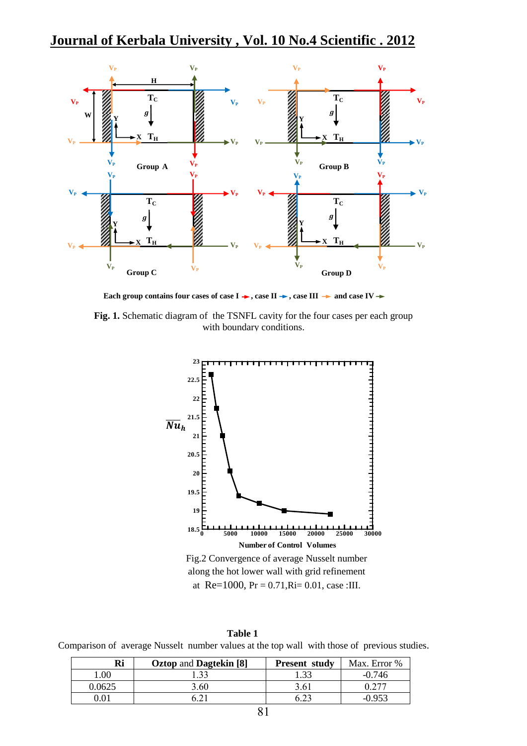

Each group contains four cases of case  $I \rightarrow$ , case II  $\rightarrow$ , case III  $\rightarrow$  and case IV  $\rightarrow$ 

Fig. 1. Schematic diagram of the TSNFL cavity for the four cases per each group with boundary conditions.



**Table 1** Comparison of average Nusselt number values at the top wall with those of previous studies.

| Ri     | <b>Oztop and Dagtekin</b> [8] | <b>Present study</b> | Max. Error % |
|--------|-------------------------------|----------------------|--------------|
| 1.00   |                               |                      | $-0.746$     |
| 0.0625 | 3.60                          | 3.61                 |              |
|        |                               |                      |              |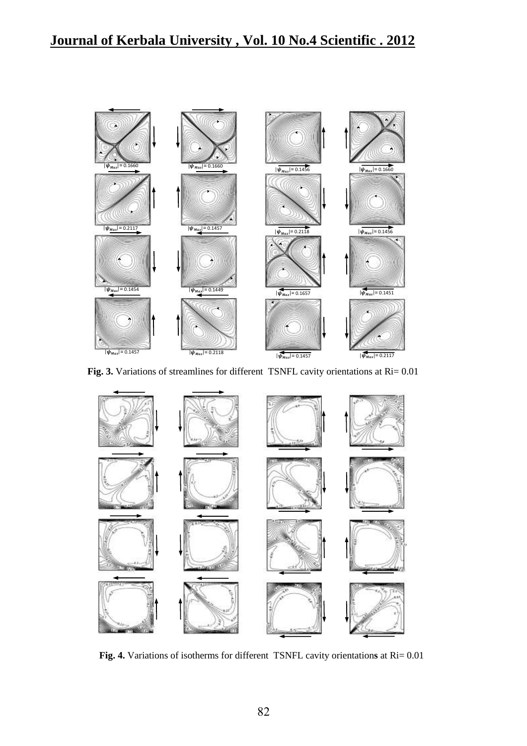

**Fig. 3.** Variations of streamlines for different TSNFL cavity orientations at Ri= 0.01



**Fig. 4.** Variations of isotherms for different TSNFL cavity orientation**s** at Ri= 0.01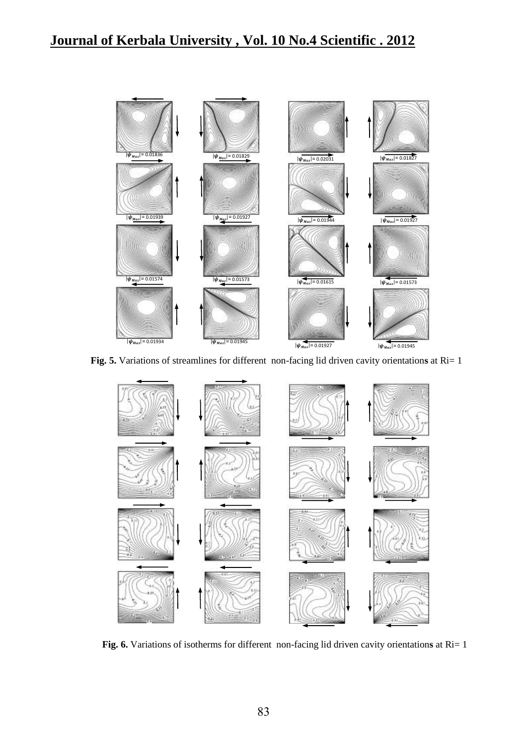

**Fig. 5.** Variations of streamlines for different non-facing lid driven cavity orientation**s** at Ri= 1



**Fig. 6.** Variations of isotherms for different non-facing lid driven cavity orientation**s** at Ri= 1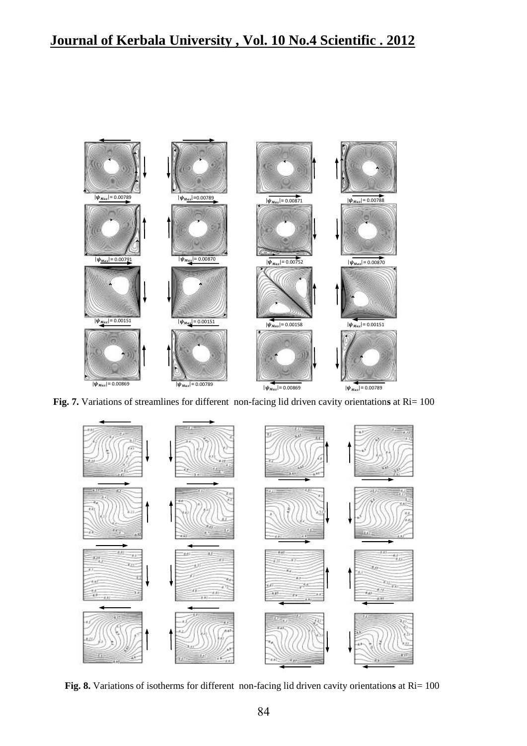

**Fig. 7.** Variations of streamlines for different non-facing lid driven cavity orientation**s** at Ri= 100



**Fig. 8.** Variations of isotherms for different non-facing lid driven cavity orientation**s** at Ri= 100